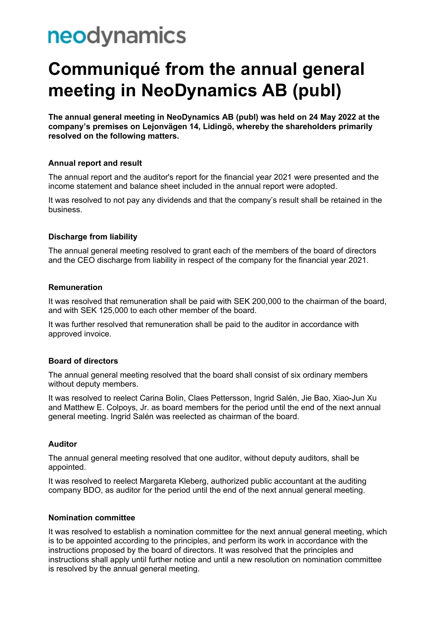# neodynamics

## **Communiqué from the annual general meeting in NeoDynamics AB (publ)**

**The annual general meeting in NeoDynamics AB (publ) was held on 24 May 2022 at the company's premises on Lejonvägen 14, Lidingö, whereby the shareholders primarily resolved on the following matters.**

#### **Annual report and result**

The annual report and the auditor's report for the financial year 2021 were presented and the income statement and balance sheet included in the annual report were adopted.

It was resolved to not pay any dividends and that the company's result shall be retained in the business.

#### **Discharge from liability**

The annual general meeting resolved to grant each of the members of the board of directors and the CEO discharge from liability in respect of the company for the financial year 2021.

#### **Remuneration**

It was resolved that remuneration shall be paid with SEK 200,000 to the chairman of the board, and with SEK 125,000 to each other member of the board.

It was further resolved that remuneration shall be paid to the auditor in accordance with approved invoice.

#### **Board of directors**

The annual general meeting resolved that the board shall consist of six ordinary members without deputy members.

It was resolved to reelect Carina Bolin, Claes Pettersson, Ingrid Salén, Jie Bao, Xiao-Jun Xu and Matthew E. Colpoys, Jr. as board members for the period until the end of the next annual general meeting. Ingrid Salén was reelected as chairman of the board.

#### **Auditor**

The annual general meeting resolved that one auditor, without deputy auditors, shall be appointed.

It was resolved to reelect Margareta Kleberg, authorized public accountant at the auditing company BDO, as auditor for the period until the end of the next annual general meeting.

#### **Nomination committee**

It was resolved to establish a nomination committee for the next annual general meeting, which is to be appointed according to the principles, and perform its work in accordance with the instructions proposed by the board of directors. It was resolved that the principles and instructions shall apply until further notice and until a new resolution on nomination committee is resolved by the annual general meeting.